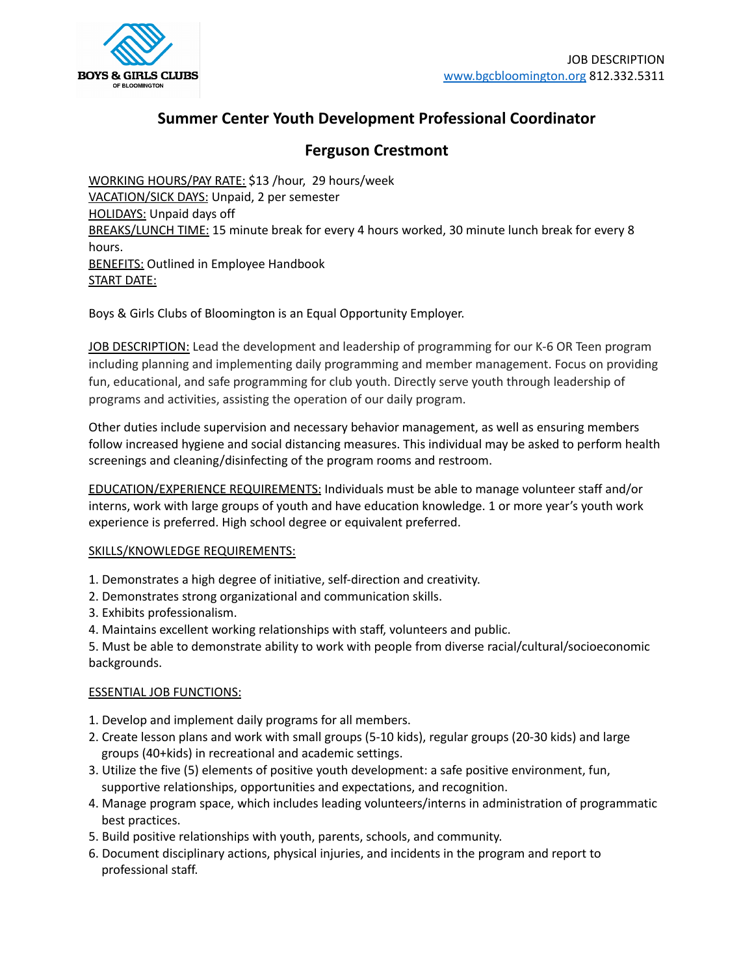

# **Summer Center Youth Development Professional Coordinator**

## **Ferguson Crestmont**

WORKING HOURS/PAY RATE: \$13 /hour, 29 hours/week VACATION/SICK DAYS: Unpaid, 2 per semester HOLIDAYS: Unpaid days off BREAKS/LUNCH TIME: 15 minute break for every 4 hours worked, 30 minute lunch break for every 8 hours. **BENEFITS: Outlined in Employee Handbook** START DATE:

Boys & Girls Clubs of Bloomington is an Equal Opportunity Employer.

JOB DESCRIPTION: Lead the development and leadership of programming for our K-6 OR Teen program including planning and implementing daily programming and member management. Focus on providing fun, educational, and safe programming for club youth. Directly serve youth through leadership of programs and activities, assisting the operation of our daily program.

Other duties include supervision and necessary behavior management, as well as ensuring members follow increased hygiene and social distancing measures. This individual may be asked to perform health screenings and cleaning/disinfecting of the program rooms and restroom.

EDUCATION/EXPERIENCE REQUIREMENTS: Individuals must be able to manage volunteer staff and/or interns, work with large groups of youth and have education knowledge. 1 or more year's youth work experience is preferred. High school degree or equivalent preferred.

### SKILLS/KNOWLEDGE REQUIREMENTS:

- 1. Demonstrates a high degree of initiative, self-direction and creativity.
- 2. Demonstrates strong organizational and communication skills.
- 3. Exhibits professionalism.
- 4. Maintains excellent working relationships with staff, volunteers and public.

5. Must be able to demonstrate ability to work with people from diverse racial/cultural/socioeconomic backgrounds.

### ESSENTIAL JOB FUNCTIONS:

- 1. Develop and implement daily programs for all members.
- 2. Create lesson plans and work with small groups (5-10 kids), regular groups (20-30 kids) and large groups (40+kids) in recreational and academic settings.
- 3. Utilize the five (5) elements of positive youth development: a safe positive environment, fun, supportive relationships, opportunities and expectations, and recognition.
- 4. Manage program space, which includes leading volunteers/interns in administration of programmatic best practices.
- 5. Build positive relationships with youth, parents, schools, and community.
- 6. Document disciplinary actions, physical injuries, and incidents in the program and report to professional staff.